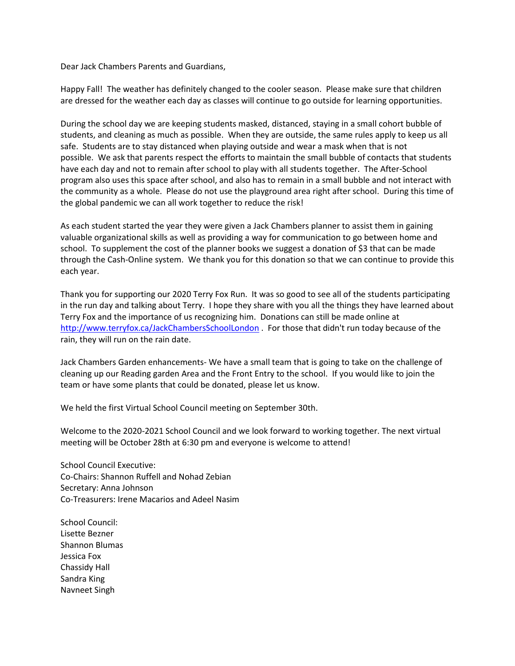Dear Jack Chambers Parents and Guardians,

Happy Fall! The weather has definitely changed to the cooler season. Please make sure that children are dressed for the weather each day as classes will continue to go outside for learning opportunities.

During the school day we are keeping students masked, distanced, staying in a small cohort bubble of students, and cleaning as much as possible. When they are outside, the same rules apply to keep us all safe. Students are to stay distanced when playing outside and wear a mask when that is not possible. We ask that parents respect the efforts to maintain the small bubble of contacts that students have each day and not to remain after school to play with all students together. The After-School program also uses this space after school, and also has to remain in a small bubble and not interact with the community as a whole. Please do not use the playground area right after school. During this time of the global pandemic we can all work together to reduce the risk!

As each student started the year they were given a Jack Chambers planner to assist them in gaining valuable organizational skills as well as providing a way for communication to go between home and school. To supplement the cost of the planner books we suggest a donation of \$3 that can be made through the Cash-Online system. We thank you for this donation so that we can continue to provide this each year.

Thank you for supporting our 2020 Terry Fox Run. It was so good to see all of the students participating in the run day and talking about Terry. I hope they share with you all the things they have learned about Terry Fox and the importance of us recognizing him. Donations can still be made online at [http://www.terryfox.ca/JackChambersSchoolLondon](http://track.spe.schoolmessenger.com/f/a/Ff7RW2SVHhEv2DGI2qUVGw~~/AAAAAQA~/RgRhWLt6P0QvaHR0cDovL3d3dy50ZXJyeWZveC5jYS9KYWNrQ2hhbWJlcnNTY2hvb2xMb25kb25XB3NjaG9vbG1CCgBG-od3X-0wnV9SHkFsbFN0YWZmLUphY2tDaGFtYmVyc0B0dmRzYi5jYVgEAAAAAg~~)</u> . For those that didn't run today because of the rain, they will run on the rain date.

Jack Chambers Garden enhancements- We have a small team that is going to take on the challenge of cleaning up our Reading garden Area and the Front Entry to the school. If you would like to join the team or have some plants that could be donated, please let us know.

We held the first Virtual School Council meeting on September 30th.

Welcome to the 2020-2021 School Council and we look forward to working together. The next virtual meeting will be October 28th at 6:30 pm and everyone is welcome to attend!

School Council Executive: Co-Chairs: Shannon Ruffell and Nohad Zebian Secretary: Anna Johnson Co-Treasurers: Irene Macarios and Adeel Nasim

School Council: Lisette Bezner Shannon Blumas Jessica Fox Chassidy Hall Sandra King Navneet Singh